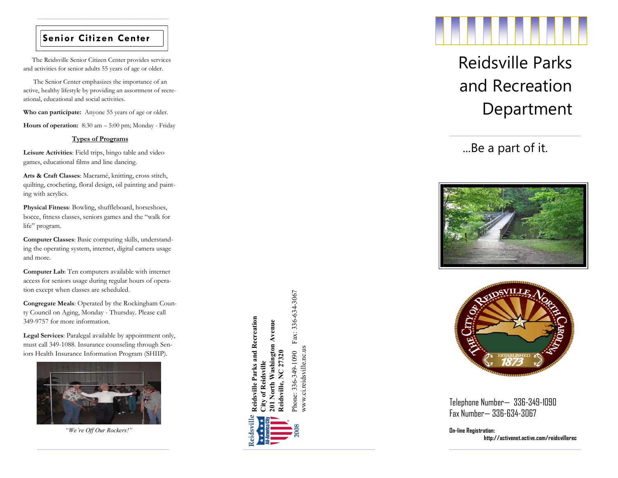## **Senior Citizen Center**

 The Reidsville Senior Citizen Center provides services and activities for senior adults 55 years of age or older.

 The Senior Center emphasizes the importance of an active, healthy lifestyle by providing an assortment of recre ational, educational and social activities.

**Who can participate:** Anyone 55 years of age or older.

Hours of operation: 8:30 am - 5:00 pm; Monday - Friday

#### **Types of Programs**

**Leisure Activities**: Field trips, bingo table and video games, educational films and line dancing .

**Arts & Craft Classes**: Macramé, knitting, cross stitch, quilting, crocheting, floral design, oil painting and painting with acrylics.

**Physical Fitness**: Bowling, shuffleboard, horseshoes, bocce, fitness classes, seniors games and the "walk for life" program.

**Computer Classes**: Basic computing skills, understanding the operating system, internet, digital camera usage and more.

**Computer Lab**: Ten computers available with internet access for seniors usage during regular hours of operation except when classes are scheduled.

**Congregate Meals**: Operated by the Rockingham County Council on Aging, Monday - Thursday. Please call 349 -9757 for more information .

**Legal Services**: Paralegal available by appointment only, must call 349 -1088. Insurance counseling through Seniors Health Insurance Information Program (SHIIP).



*"We're Off Our Rockers!"*

Reidsville Parks and Recreation **Reidsville Parks and Recreation** orth Washington Avenue **201 North Washington Avenue** Reidsville, NC 27320 **Reidsville, NC 27320** Reidsville **City of Reidsville**

Phone: 336-349-1090 Fax: 336-634-3067

Fax: 336-634-3067

www.ci.reidsville.nc.us

www.ci.reidsville.nc.us Phone: 336-349-1090



# Reidsville Parks and Recreation Department

...Be a part of it.





Telephone Number — 336 -349 -1090 Fax Number — 336 -634 -3067

**On -line Registration: http://activenet.active.com/reidsvillerec**